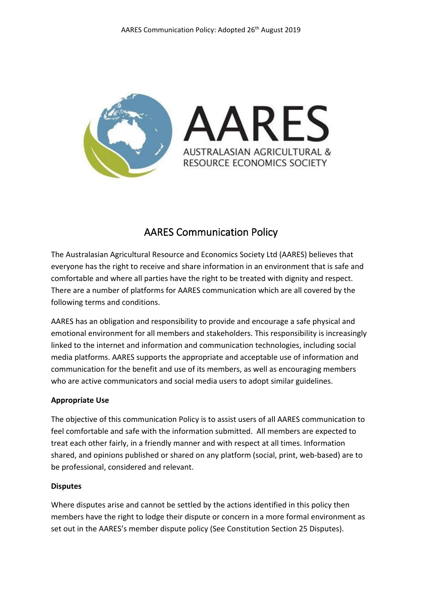

# AARES Communication Policy

The Australasian Agricultural Resource and Economics Society Ltd (AARES) believes that everyone has the right to receive and share information in an environment that is safe and comfortable and where all parties have the right to be treated with dignity and respect. There are a number of platforms for AARES communication which are all covered by the following terms and conditions.

AARES has an obligation and responsibility to provide and encourage a safe physical and emotional environment for all members and stakeholders. This responsibility is increasingly linked to the internet and information and communication technologies, including social media platforms. AARES supports the appropriate and acceptable use of information and communication for the benefit and use of its members, as well as encouraging members who are active communicators and social media users to adopt similar guidelines.

# **Appropriate Use**

The objective of this communication Policy is to assist users of all AARES communication to feel comfortable and safe with the information submitted. All members are expected to treat each other fairly, in a friendly manner and with respect at all times. Information shared, and opinions published or shared on any platform (social, print, web-based) are to be professional, considered and relevant.

# **Disputes**

Where disputes arise and cannot be settled by the actions identified in this policy then members have the right to lodge their dispute or concern in a more formal environment as set out in the AARES's member dispute policy (See Constitution Section 25 Disputes).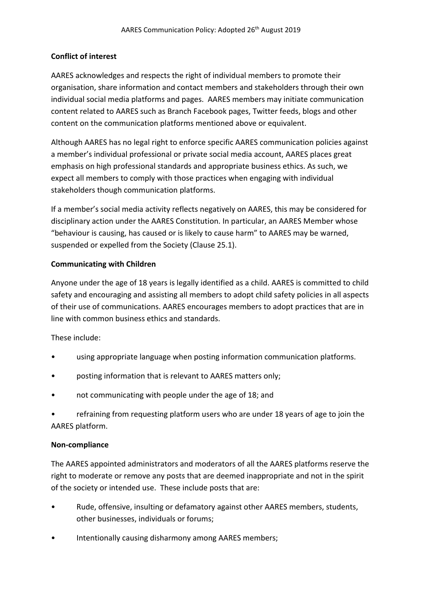# **Conflict of interest**

AARES acknowledges and respects the right of individual members to promote their organisation, share information and contact members and stakeholders through their own individual social media platforms and pages. AARES members may initiate communication content related to AARES such as Branch Facebook pages, Twitter feeds, blogs and other content on the communication platforms mentioned above or equivalent.

Although AARES has no legal right to enforce specific AARES communication policies against a member's individual professional or private social media account, AARES places great emphasis on high professional standards and appropriate business ethics. As such, we expect all members to comply with those practices when engaging with individual stakeholders though communication platforms.

If a member's social media activity reflects negatively on AARES, this may be considered for disciplinary action under the AARES Constitution. In particular, an AARES Member whose "behaviour is causing, has caused or is likely to cause harm" to AARES may be warned, suspended or expelled from the Society (Clause 25.1).

# **Communicating with Children**

Anyone under the age of 18 years is legally identified as a child. AARES is committed to child safety and encouraging and assisting all members to adopt child safety policies in all aspects of their use of communications. AARES encourages members to adopt practices that are in line with common business ethics and standards.

These include:

- using appropriate language when posting information communication platforms.
- posting information that is relevant to AARES matters only;
- not communicating with people under the age of 18; and
- refraining from requesting platform users who are under 18 years of age to join the AARES platform.

# **Non-compliance**

The AARES appointed administrators and moderators of all the AARES platforms reserve the right to moderate or remove any posts that are deemed inappropriate and not in the spirit of the society or intended use. These include posts that are:

- Rude, offensive, insulting or defamatory against other AARES members, students, other businesses, individuals or forums;
- Intentionally causing disharmony among AARES members;